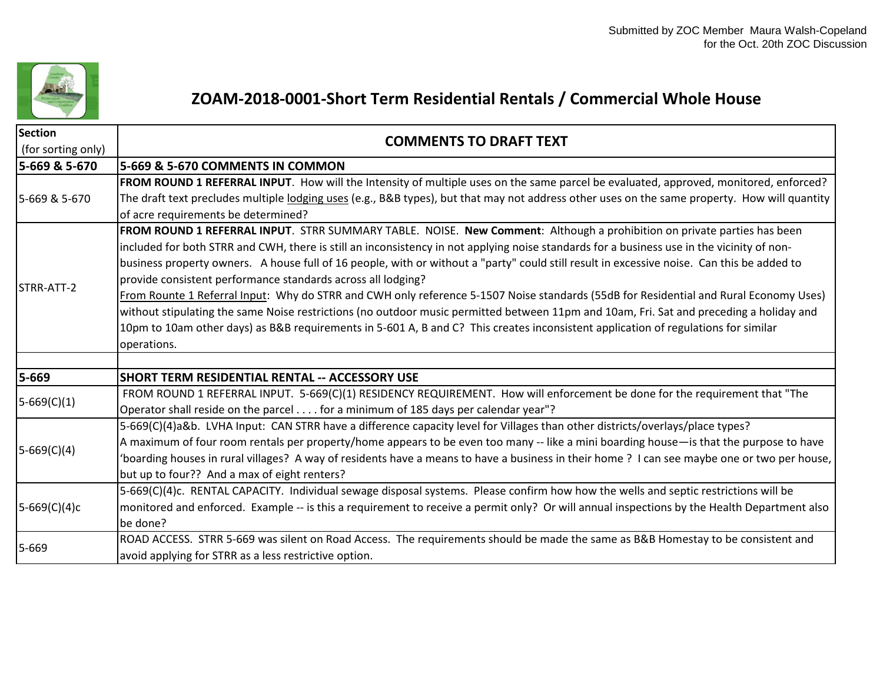

## **ZOAM-2018-0001-Short Term Residential Rentals / Commercial Whole House**

| <b>Section</b><br>(for sorting only) | <b>COMMENTS TO DRAFT TEXT</b>                                                                                                                                                                                                                                                                                                                                                                                                                                                                     |
|--------------------------------------|---------------------------------------------------------------------------------------------------------------------------------------------------------------------------------------------------------------------------------------------------------------------------------------------------------------------------------------------------------------------------------------------------------------------------------------------------------------------------------------------------|
| 5-669 & 5-670                        | 5-669 & 5-670 COMMENTS IN COMMON                                                                                                                                                                                                                                                                                                                                                                                                                                                                  |
| 5-669 & 5-670                        | FROM ROUND 1 REFERRAL INPUT. How will the Intensity of multiple uses on the same parcel be evaluated, approved, monitored, enforced?<br>The draft text precludes multiple lodging uses (e.g., B&B types), but that may not address other uses on the same property. How will quantity<br>of acre requirements be determined?                                                                                                                                                                      |
| STRR-ATT-2                           | FROM ROUND 1 REFERRAL INPUT. STRR SUMMARY TABLE. NOISE. New Comment: Although a prohibition on private parties has been                                                                                                                                                                                                                                                                                                                                                                           |
|                                      | included for both STRR and CWH, there is still an inconsistency in not applying noise standards for a business use in the vicinity of non-<br>business property owners. A house full of 16 people, with or without a "party" could still result in excessive noise. Can this be added to<br>provide consistent performance standards across all lodging?<br>From Rounte 1 Referral Input: Why do STRR and CWH only reference 5-1507 Noise standards (55dB for Residential and Rural Economy Uses) |
|                                      | without stipulating the same Noise restrictions (no outdoor music permitted between 11pm and 10am, Fri. Sat and preceding a holiday and<br>10pm to 10am other days) as B&B requirements in 5-601 A, B and C? This creates inconsistent application of regulations for similar<br>operations.                                                                                                                                                                                                      |
| 5-669                                | <b>SHORT TERM RESIDENTIAL RENTAL -- ACCESSORY USE</b>                                                                                                                                                                                                                                                                                                                                                                                                                                             |
| $5-669(C)(1)$                        | FROM ROUND 1 REFERRAL INPUT. 5-669(C)(1) RESIDENCY REQUIREMENT. How will enforcement be done for the requirement that "The<br>Operator shall reside on the parcel for a minimum of 185 days per calendar year"?                                                                                                                                                                                                                                                                                   |
| $5-669(C)(4)$                        | 5-669(C)(4)a&b. LVHA Input: CAN STRR have a difference capacity level for Villages than other districts/overlays/place types?<br>A maximum of four room rentals per property/home appears to be even too many -- like a mini boarding house—is that the purpose to have<br>'boarding houses in rural villages? A way of residents have a means to have a business in their home? I can see maybe one or two per house,<br>but up to four?? And a max of eight renters?                            |
| $5-669(C)(4)c$                       | 5-669(C)(4)c. RENTAL CAPACITY. Individual sewage disposal systems. Please confirm how how the wells and septic restrictions will be<br>monitored and enforced. Example -- is this a requirement to receive a permit only? Or will annual inspections by the Health Department also<br>be done?                                                                                                                                                                                                    |
| 5-669                                | ROAD ACCESS. STRR 5-669 was silent on Road Access. The requirements should be made the same as B&B Homestay to be consistent and<br>avoid applying for STRR as a less restrictive option.                                                                                                                                                                                                                                                                                                         |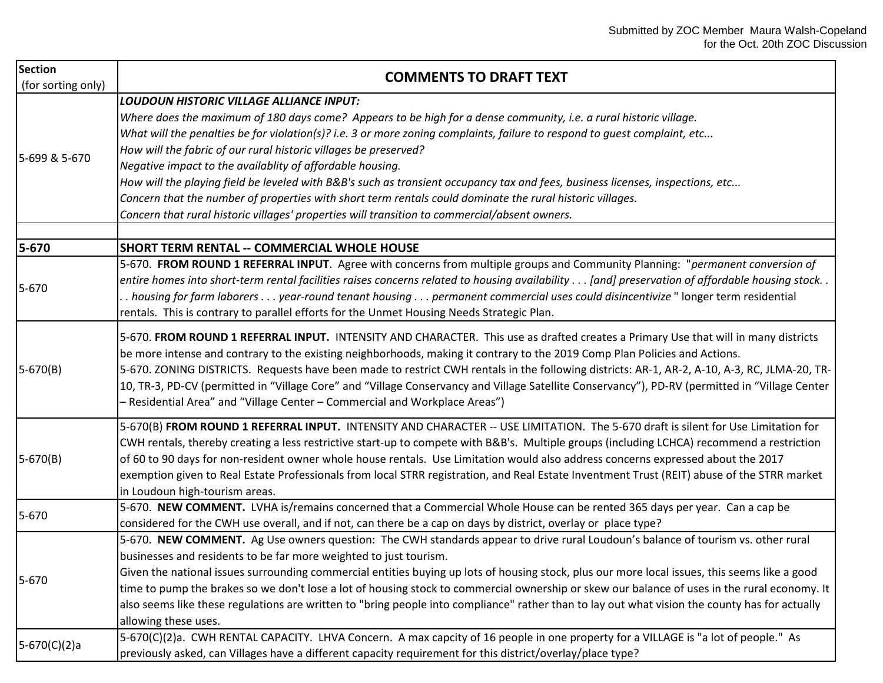| <b>Section</b><br>(for sorting only) | <b>COMMENTS TO DRAFT TEXT</b>                                                                                                                                                                                                                                                                                                                                                                                                                                                                                                                                                                                                                                                                                                                                                      |
|--------------------------------------|------------------------------------------------------------------------------------------------------------------------------------------------------------------------------------------------------------------------------------------------------------------------------------------------------------------------------------------------------------------------------------------------------------------------------------------------------------------------------------------------------------------------------------------------------------------------------------------------------------------------------------------------------------------------------------------------------------------------------------------------------------------------------------|
| 5-699 & 5-670                        | <b>LOUDOUN HISTORIC VILLAGE ALLIANCE INPUT:</b><br>Where does the maximum of 180 days come? Appears to be high for a dense community, i.e. a rural historic village.<br>What will the penalties be for violation(s)? i.e. 3 or more zoning complaints, failure to respond to guest complaint, etc<br>How will the fabric of our rural historic villages be preserved?<br>Negative impact to the availablity of affordable housing.<br>How will the playing field be leveled with B&B's such as transient occupancy tax and fees, business licenses, inspections, etc<br>Concern that the number of properties with short term rentals could dominate the rural historic villages.<br>Concern that rural historic villages' properties will transition to commercial/absent owners. |
| 5-670                                | <b>SHORT TERM RENTAL -- COMMERCIAL WHOLE HOUSE</b>                                                                                                                                                                                                                                                                                                                                                                                                                                                                                                                                                                                                                                                                                                                                 |
| 5-670                                | 5-670. FROM ROUND 1 REFERRAL INPUT. Agree with concerns from multiple groups and Community Planning: "permanent conversion of<br>entire homes into short-term rental facilities raises concerns related to housing availability [and] preservation of affordable housing stock. .<br>. housing for farm laborers year-round tenant housing permanent commercial uses could disincentivize " longer term residential<br>rentals. This is contrary to parallel efforts for the Unmet Housing Needs Strategic Plan.                                                                                                                                                                                                                                                                   |
| $5-670(B)$                           | 5-670. FROM ROUND 1 REFERRAL INPUT. INTENSITY AND CHARACTER. This use as drafted creates a Primary Use that will in many districts<br>be more intense and contrary to the existing neighborhoods, making it contrary to the 2019 Comp Plan Policies and Actions.<br>5-670. ZONING DISTRICTS. Requests have been made to restrict CWH rentals in the following districts: AR-1, AR-2, A-10, A-3, RC, JLMA-20, TR-<br>10, TR-3, PD-CV (permitted in "Village Core" and "Village Conservancy and Village Satellite Conservancy"), PD-RV (permitted in "Village Center<br>- Residential Area" and "Village Center - Commercial and Workplace Areas")                                                                                                                                   |
| $5-670(B)$                           | 5-670(B) FROM ROUND 1 REFERRAL INPUT. INTENSITY AND CHARACTER -- USE LIMITATION. The 5-670 draft is silent for Use Limitation for<br>CWH rentals, thereby creating a less restrictive start-up to compete with B&B's. Multiple groups (including LCHCA) recommend a restriction<br>of 60 to 90 days for non-resident owner whole house rentals. Use Limitation would also address concerns expressed about the 2017<br>exemption given to Real Estate Professionals from local STRR registration, and Real Estate Inventment Trust (REIT) abuse of the STRR market<br>in Loudoun high-tourism areas.                                                                                                                                                                               |
| 5-670                                | 5-670. NEW COMMENT. LVHA is/remains concerned that a Commercial Whole House can be rented 365 days per year. Can a cap be<br>considered for the CWH use overall, and if not, can there be a cap on days by district, overlay or place type?                                                                                                                                                                                                                                                                                                                                                                                                                                                                                                                                        |
| 5-670                                | 5-670. NEW COMMENT. Ag Use owners question: The CWH standards appear to drive rural Loudoun's balance of tourism vs. other rural<br>businesses and residents to be far more weighted to just tourism.<br>Given the national issues surrounding commercial entities buying up lots of housing stock, plus our more local issues, this seems like a good<br>time to pump the brakes so we don't lose a lot of housing stock to commercial ownership or skew our balance of uses in the rural economy. It<br>also seems like these regulations are written to "bring people into compliance" rather than to lay out what vision the county has for actually<br>allowing these uses.                                                                                                   |
| $5-670(C)(2)a$                       | 5-670(C)(2)a. CWH RENTAL CAPACITY. LHVA Concern. A max capcity of 16 people in one property for a VILLAGE is "a lot of people." As<br>previously asked, can Villages have a different capacity requirement for this district/overlay/place type?                                                                                                                                                                                                                                                                                                                                                                                                                                                                                                                                   |